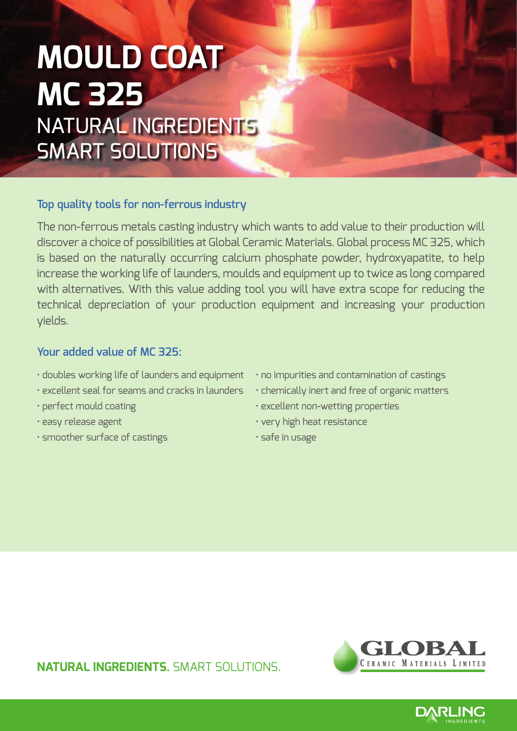## **Mould Coat MC 325** Natural Ingredients Smart Solutions

### **Top quality tools for non-ferrous industry**

The non-ferrous metals casting industry which wants to add value to their production will discover a choice of possibilities at Global Ceramic Materials. Global process MC 325, which is based on the naturally occurring calcium phosphate powder, hydroxyapatite, to help increase the working life of launders, moulds and equipment up to twice as long compared with alternatives. With this value adding tool you will have extra scope for reducing the technical depreciation of your production equipment and increasing your production yields.

### **Your added value of MC 325:**

- doubles working life of launders and equipment no impurities and contamination of castings
- excellent seal for seams and cracks in launders chemically inert and free of organic matters
- 
- 
- smoother surface of castings safe in usage
- 
- 
- perfect mould coating excellent non-wetting properties
- easy release agent very high heat resistance
	-

**NATURAL INGREDIENTS.** SMART SOLUTIONS.



**DARLING**